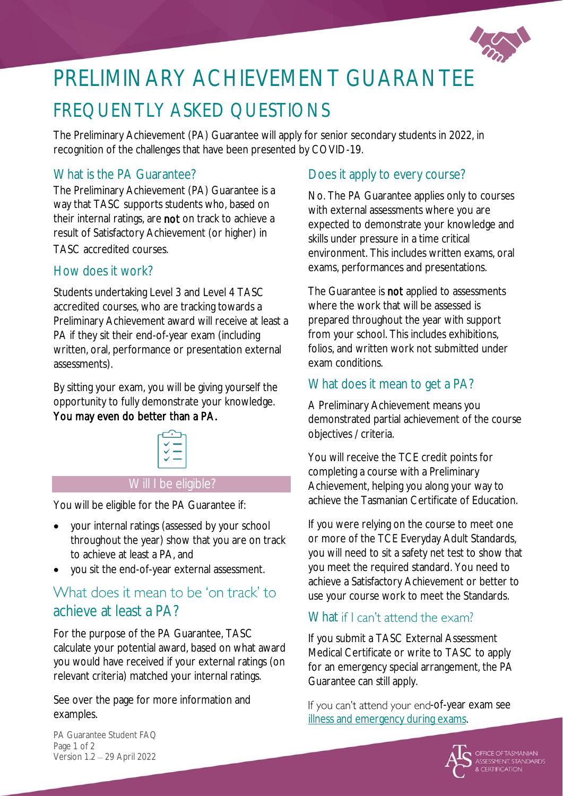

# PRELIMINARY ACHIEVEMENT GUARANTEE FREQUENTLY ASKED QUESTIONS

The Preliminary Achievement (PA) Guarantee will apply for senior secondary students in 2022, in recognition of the challenges that have been presented by COVID-19.

## What is the PA Guarantee?

The Preliminary Achievement (PA) Guarantee is a way that TASC supports students who, based on their internal ratings, are not on track to achieve a result of Satisfactory Achievement (or higher) in TASC accredited courses.

#### How does it work?

Students undertaking Level 3 and Level 4 TASC accredited courses, who are tracking towards a Preliminary Achievement award will receive at least a PA if they sit their end-of-year exam (including written, oral, performance or presentation external assessments).

By sitting your exam, you will be giving yourself the opportunity to fully demonstrate your knowledge. You may even do better than a PA.



#### Will I be eligible?

You will be eligible for the PA Guarantee if:

- your internal ratings (assessed by your school throughout the year) show that you are on track to achieve at least a PA, and
- you sit the end-of-year external assessment.

# What does it mean to be 'on track' to achieve at least a PA?

For the purpose of the PA Guarantee, TASC calculate your potential award, based on what award you would have received if your external ratings (on relevant criteria) matched your internal ratings.

See over the page for more information and examples.

### Does it apply to every course?

No. The PA Guarantee applies only to courses with external assessments where you are expected to demonstrate your knowledge and skills under pressure in a time critical environment. This includes written exams, oral exams, performances and presentations.

The Guarantee is **not** applied to assessments where the work that will be assessed is prepared throughout the year with support from your school. This includes exhibitions, folios, and written work not submitted under exam conditions.

#### What does it mean to get a PA?

A Preliminary Achievement means you demonstrated partial achievement of the course objectives / criteria.

You will receive the TCE credit points for completing a course with a Preliminary Achievement, helping you along your way to achieve the Tasmanian Certificate of Education.

If you were relying on the course to meet one or more of the TCE Everyday Adult Standards, you will need to sit a safety net test to show that you meet the required standard. You need to achieve a Satisfactory Achievement or better to use your course work to meet the Standards.

## What if I can't attend the exam?

If you submit a TASC External Assessment Medical Certificate or write to TASC to apply for an emergency special arrangement, the PA Guarantee can still apply.

If you can't attend your end-of-year exam see [illness and emergency during exams.](https://www.tasc.tas.gov.au/students/years-11-and-12/preparing-for-exams/illness-emergency/?highlight=illness%20and%20emergency)



PA Guarantee Student FAQ Page 1 of 2 Version 1.2 29 April 2022